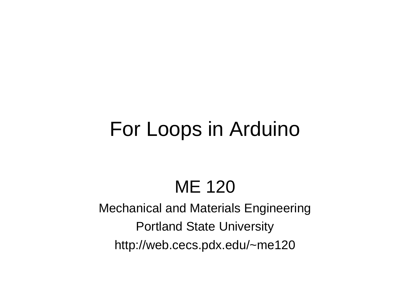# For Loops in Arduino

## ME 120

Mechanical and Materials Engineering Portland State University http://web.cecs.pdx.edu/~me120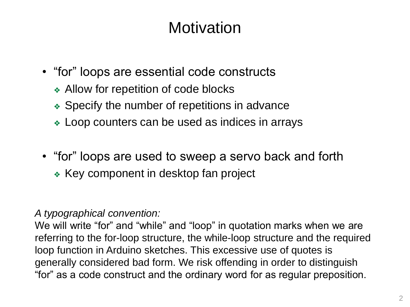### **Motivation**

- "for" loops are essential code constructs
	- ❖ Allow for repetition of code blocks
	- ❖ Specify the number of repetitions in advance
	- ❖ Loop counters can be used as indices in arrays
- "for" loops are used to sweep a servo back and forth
	- ❖ Key component in desktop fan project

### *A typographical convention:*

We will write "for" and "while" and "loop" in quotation marks when we are referring to the for-loop structure, the while-loop structure and the required loop function in Arduino sketches. This excessive use of quotes is generally considered bad form. We risk offending in order to distinguish "for" as a code construct and the ordinary word for as regular preposition.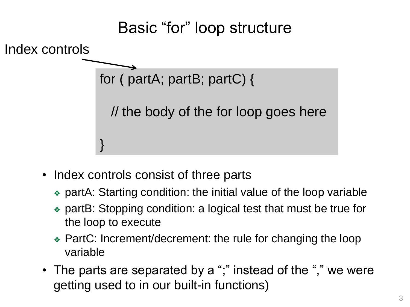

- Index controls consist of three parts
	- ❖ partA: Starting condition: the initial value of the loop variable
	- ❖ partB: Stopping condition: a logical test that must be true for the loop to execute
	- ❖ PartC: Increment/decrement: the rule for changing the loop variable
- The parts are separated by a ";" instead of the "," we were getting used to in our built-in functions)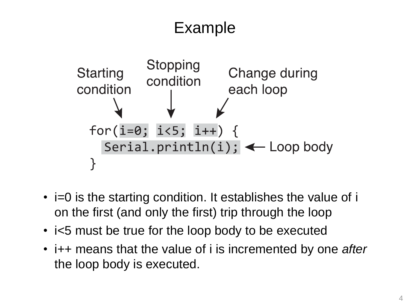### Example



- i=0 is the starting condition. It establishes the value of i on the first (and only the first) trip through the loop
- i<5 must be true for the loop body to be executed
- i++ means that the value of i is incremented by one *after* the loop body is executed.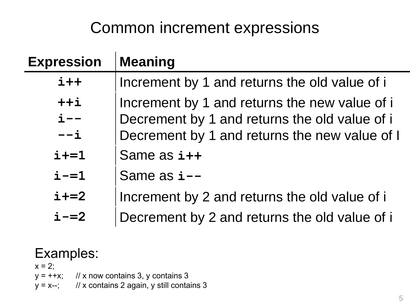### Common increment expressions

| <b>Expression</b> | <b>Meaning</b>                                |
|-------------------|-----------------------------------------------|
| $i++$             | Increment by 1 and returns the old value of i |
| $++i$             | Increment by 1 and returns the new value of i |
| $i$ – –           | Decrement by 1 and returns the old value of i |
| $--i$             | Decrement by 1 and returns the new value of I |
| $i+=1$            | Same as i++                                   |
| $i = 1$           | Same as i--                                   |
| $i+=2$            | Increment by 2 and returns the old value of i |
| $i - = 2$         | Decrement by 2 and returns the old value of i |

### Examples:

 $x = 2$ ;

- $y = ++x$ ; // x now contains 3, y contains 3
- $y = x--;$  // x contains 2 again, y still contains 3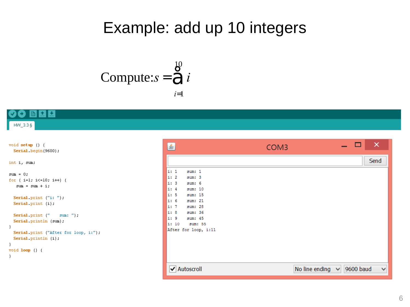### Example: add up 10 integers

Compute: 
$$
s = \bigotimes_{i=1}^{10} i
$$

#### Ŀ.  $\bullet$

 $HW_333$ 

```
void setup () {
 Serial begin(9600):
int i, sum;
sum = 0;
for ( i=1; i<=10; i++) {
   sum = sum + i;Serial print ("i: "):Serial print (i).
  Serial print ("
                     sum: "):
  Serial println (sum).
- }
 Serial print ("After for loop, i:").
 Serial println (i):
\lambdavoid loop () {
-1
```

| 鱼<br>COM <sub>3</sub>                                                                                                                                                                                                                                     | ×<br>□                                |
|-----------------------------------------------------------------------------------------------------------------------------------------------------------------------------------------------------------------------------------------------------------|---------------------------------------|
|                                                                                                                                                                                                                                                           | Send                                  |
| i: 1<br>sum: 1<br>$\vert i: 2 \vert$<br>sum: 3<br>$\vert$ i: 3<br>sum: 6<br>$\vert$ i: 4<br>sum: 10<br>ii:5<br>sum: 15<br>ii: 6<br>sum: 21<br>$\mathbf{i}:7$<br>sum: 28<br>i: 8<br>sum: 36<br>i: 9<br>sum: 45<br>i: 10<br>sum: 55<br>After for loop, i:11 |                                       |
| Autoscroll<br>び                                                                                                                                                                                                                                           | 9600 baud<br>No line ending<br>v<br>v |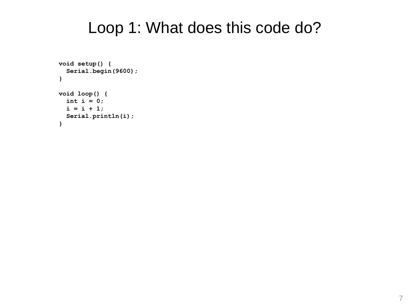### Loop 1: What does this code do?

```
void setup() {
  Serial.begin(9600);
}
void loop() {
  int i = 0;
  i = i + 1;Serial.println(i);
}
```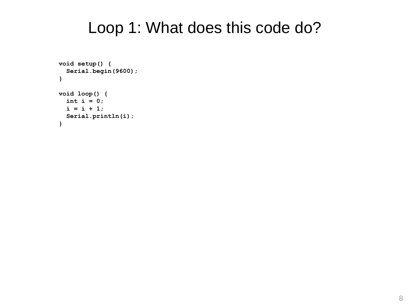### Loop 1: What does this code do?

```
void setup() {
  Serial.begin(9600);
}
void loop() {
  int i = 0;
  i = i + 1;Serial.println(i);
}
```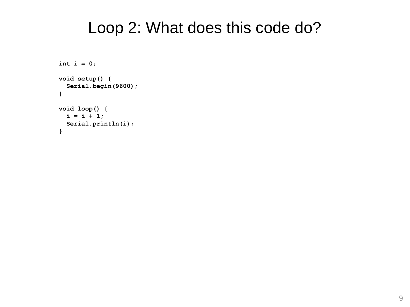### Loop 2: What does this code do?

```
int i = 0;
void setup() {
  Serial.begin(9600);
}
void loop() {
  i = i + 1;
  Serial.println(i);
}
```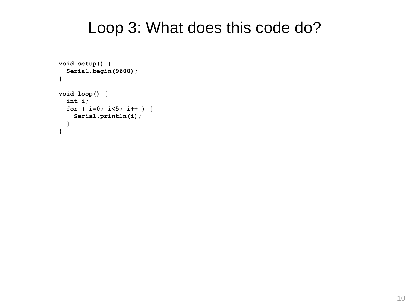### Loop 3: What does this code do?

```
void setup() {
  Serial.begin(9600);
}
void loop() {
  int i;
  for ( i=0; i<5; i++ ) {
    Serial.println(i);
  }
}
```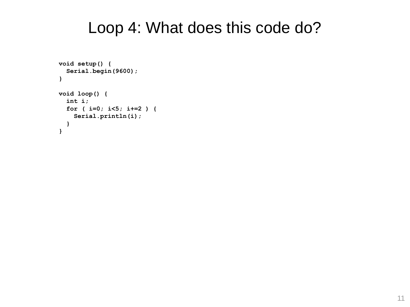### Loop 4: What does this code do?

```
void setup() {
  Serial.begin(9600);
}
void loop() {
  int i;
  for ( i=0; i<5; i+=2 ) {
    Serial.println(i);
  }
}
```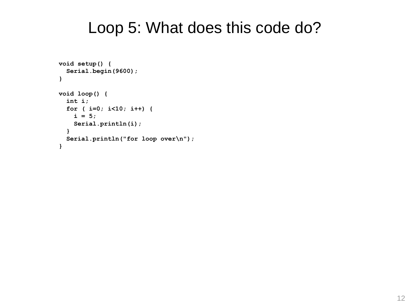### Loop 5: What does this code do?

```
void setup() {
  Serial.begin(9600);
}
void loop() { 
  int i;
  for ( i=0; i<10; i++) {
    i = 5;
    Serial.println(i);
  }
  Serial.println("for loop over\n");
}
```